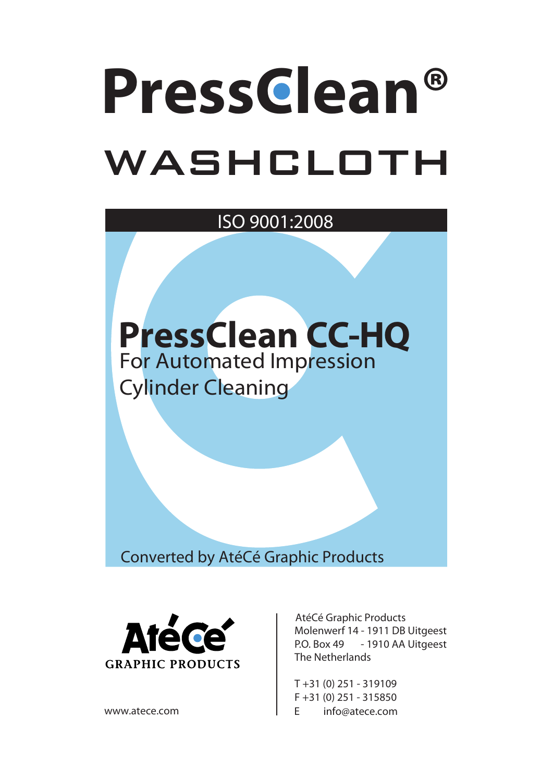## **PressClean®** washcloth

ISO 9001:2008



Converted by AtéCé Graphic Products



AtéCé Graphic Products Molenwerf 14 - 1911 DB Uitgeest P.O. Box 49 - 1910 AA Uitgeest The Netherlands

T +31 (0) 251 - 319109 F +31 (0) 251 - 315850 www.atece.com E info@atece.com